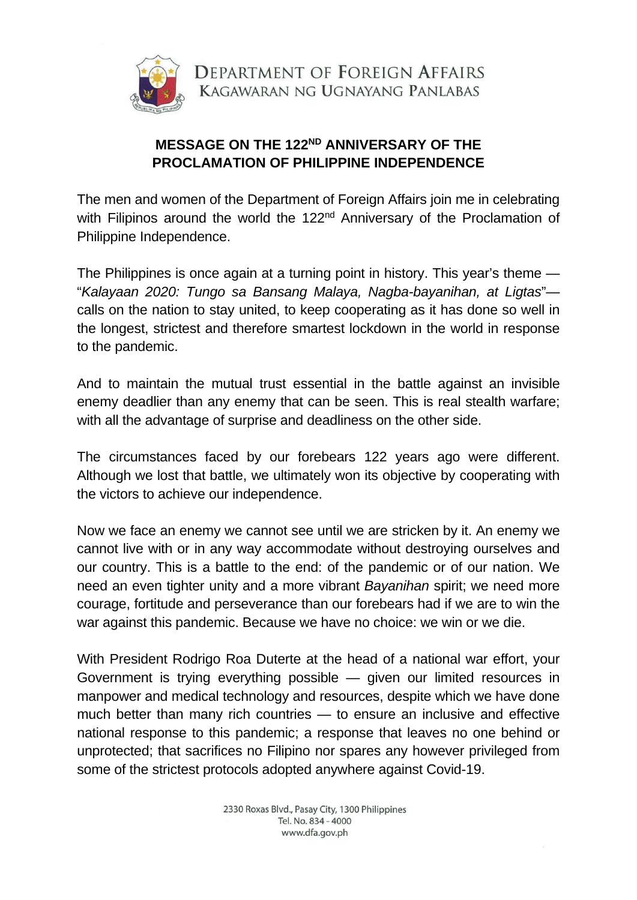

DEPARTMENT OF FOREIGN AFFAIRS KAGAWARAN NG UGNAYANG PANLABAS

## **MESSAGE ON THE 122ND ANNIVERSARY OF THE PROCLAMATION OF PHILIPPINE INDEPENDENCE**

The men and women of the Department of Foreign Affairs join me in celebrating with Filipinos around the world the 122<sup>nd</sup> Anniversary of the Proclamation of Philippine Independence.

The Philippines is once again at a turning point in history. This year's theme — "*Kalayaan 2020: Tungo sa Bansang Malaya, Nagba-bayanihan, at Ligtas*" calls on the nation to stay united, to keep cooperating as it has done so well in the longest, strictest and therefore smartest lockdown in the world in response to the pandemic.

And to maintain the mutual trust essential in the battle against an invisible enemy deadlier than any enemy that can be seen. This is real stealth warfare; with all the advantage of surprise and deadliness on the other side.

The circumstances faced by our forebears 122 years ago were different. Although we lost that battle, we ultimately won its objective by cooperating with the victors to achieve our independence.

Now we face an enemy we cannot see until we are stricken by it. An enemy we cannot live with or in any way accommodate without destroying ourselves and our country. This is a battle to the end: of the pandemic or of our nation. We need an even tighter unity and a more vibrant *Bayanihan* spirit; we need more courage, fortitude and perseverance than our forebears had if we are to win the war against this pandemic. Because we have no choice: we win or we die.

With President Rodrigo Roa Duterte at the head of a national war effort, your Government is trying everything possible — given our limited resources in manpower and medical technology and resources, despite which we have done much better than many rich countries — to ensure an inclusive and effective national response to this pandemic; a response that leaves no one behind or unprotected; that sacrifices no Filipino nor spares any however privileged from some of the strictest protocols adopted anywhere against Covid-19.